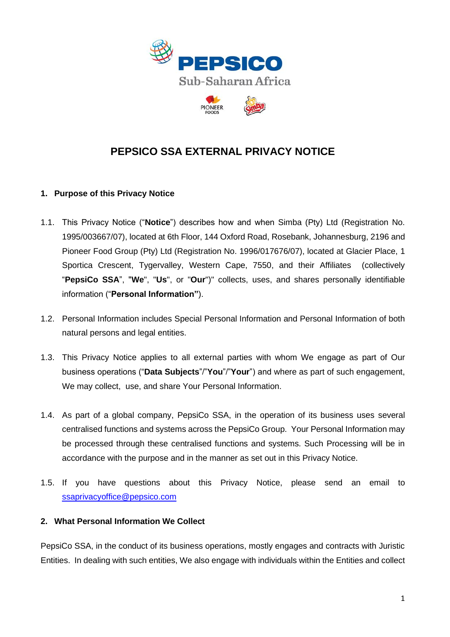

# **PEPSICO SSA EXTERNAL PRIVACY NOTICE**

## **1. Purpose of this Privacy Notice**

- 1.1. This Privacy Notice ("**Notice**") describes how and when Simba (Pty) Ltd (Registration No. 1995/003667/07), located at 6th Floor, 144 Oxford Road, Rosebank, Johannesburg, 2196 and Pioneer Food Group (Pty) Ltd (Registration No. 1996/017676/07), located at Glacier Place, 1 Sportica Crescent, Tygervalley, Western Cape, 7550, and their Affiliates (collectively "**PepsiCo SSA**", "**We**", "**Us**", or "**Our**")" collects, uses, and shares personally identifiable information ("**Personal Information"**).
- 1.2. Personal Information includes Special Personal Information and Personal Information of both natural persons and legal entities.
- 1.3. This Privacy Notice applies to all external parties with whom We engage as part of Our business operations ("**Data Subjects**"/"**You**"/"**Your**") and where as part of such engagement, We may collect, use, and share Your Personal Information.
- 1.4. As part of a global company, PepsiCo SSA, in the operation of its business uses several centralised functions and systems across the PepsiCo Group. Your Personal Information may be processed through these centralised functions and systems. Such Processing will be in accordance with the purpose and in the manner as set out in this Privacy Notice.
- 1.5. If you have questions about this Privacy Notice, please send an email to [ssaprivacyoffice@pepsico.com](mailto:ssaprivacyoffice@pepsico.com)

## **2. What Personal Information We Collect**

PepsiCo SSA, in the conduct of its business operations, mostly engages and contracts with Juristic Entities. In dealing with such entities, We also engage with individuals within the Entities and collect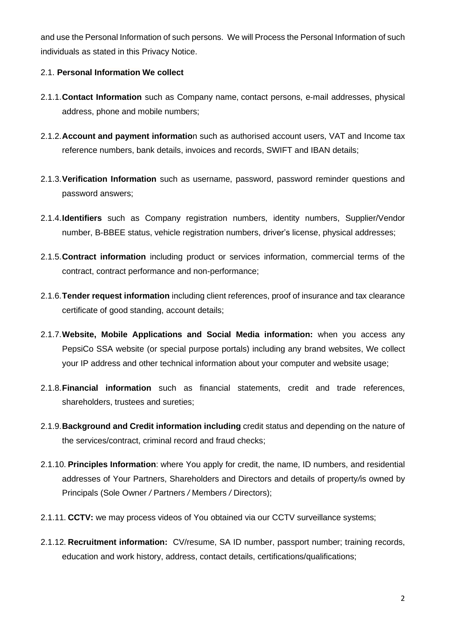and use the Personal Information of such persons. We will Process the Personal Information of such individuals as stated in this Privacy Notice.

## 2.1. **Personal Information We collect**

- 2.1.1.**Contact Information** such as Company name, contact persons, e-mail addresses, physical address, phone and mobile numbers;
- 2.1.2.**Account and payment informatio**n such as authorised account users, VAT and Income tax reference numbers, bank details, invoices and records, SWIFT and IBAN details;
- 2.1.3.**Verification Information** such as username, password, password reminder questions and password answers;
- 2.1.4.**Identifiers** such as Company registration numbers, identity numbers, Supplier/Vendor number, B-BBEE status, vehicle registration numbers, driver's license, physical addresses;
- 2.1.5.**Contract information** including product or services information, commercial terms of the contract, contract performance and non-performance;
- 2.1.6.**Tender request information** including client references, proof of insurance and tax clearance certificate of good standing, account details;
- 2.1.7.**Website, Mobile Applications and Social Media information:** when you access any PepsiCo SSA website (or special purpose portals) including any brand websites, We collect your IP address and other technical information about your computer and website usage;
- 2.1.8.**Financial information** such as financial statements, credit and trade references, shareholders, trustees and sureties;
- 2.1.9.**Background and Credit information including** credit status and depending on the nature of the services/contract, criminal record and fraud checks;
- 2.1.10. **Principles Information**: where You apply for credit, the name, ID numbers, and residential addresses of Your Partners, Shareholders and Directors and details of property*/*is owned by Principals (Sole Owner */* Partners */* Members */* Directors);
- 2.1.11. **CCTV:** we may process videos of You obtained via our CCTV surveillance systems;
- 2.1.12. **Recruitment information:** CV/resume, SA ID number, passport number; training records, education and work history, address, contact details, certifications/qualifications;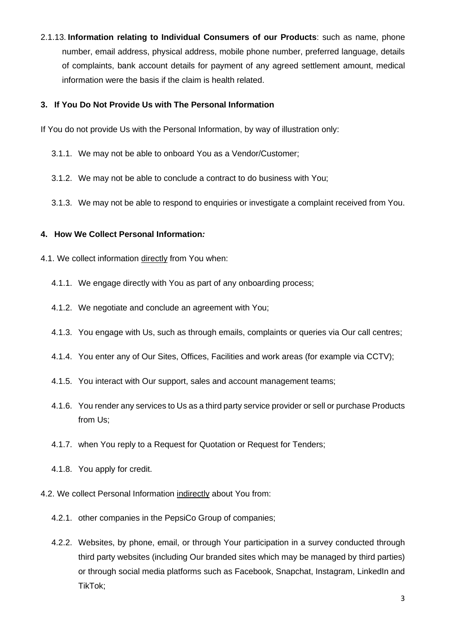2.1.13. **Information relating to Individual Consumers of our Products**: such as name, phone number, email address, physical address, mobile phone number, preferred language, details of complaints, bank account details for payment of any agreed settlement amount, medical information were the basis if the claim is health related.

## **3. If You Do Not Provide Us with The Personal Information**

If You do not provide Us with the Personal Information, by way of illustration only:

- 3.1.1. We may not be able to onboard You as a Vendor/Customer;
- 3.1.2. We may not be able to conclude a contract to do business with You;
- 3.1.3. We may not be able to respond to enquiries or investigate a complaint received from You.

## **4. How We Collect Personal Information***:*

- 4.1. We collect information directly from You when:
	- 4.1.1. We engage directly with You as part of any onboarding process;
	- 4.1.2. We negotiate and conclude an agreement with You;
	- 4.1.3. You engage with Us, such as through emails, complaints or queries via Our call centres;
	- 4.1.4. You enter any of Our Sites, Offices, Facilities and work areas (for example via CCTV);
	- 4.1.5. You interact with Our support, sales and account management teams;
	- 4.1.6. You render any services to Us as a third party service provider or sell or purchase Products from Us;
	- 4.1.7. when You reply to a Request for Quotation or Request for Tenders;
	- 4.1.8. You apply for credit.
- 4.2. We collect Personal Information indirectly about You from:
	- 4.2.1. other companies in the PepsiCo Group of companies;
	- 4.2.2. Websites, by phone, email, or through Your participation in a survey conducted through third party websites (including Our branded sites which may be managed by third parties) or through social media platforms such as Facebook, Snapchat, Instagram, LinkedIn and TikTok;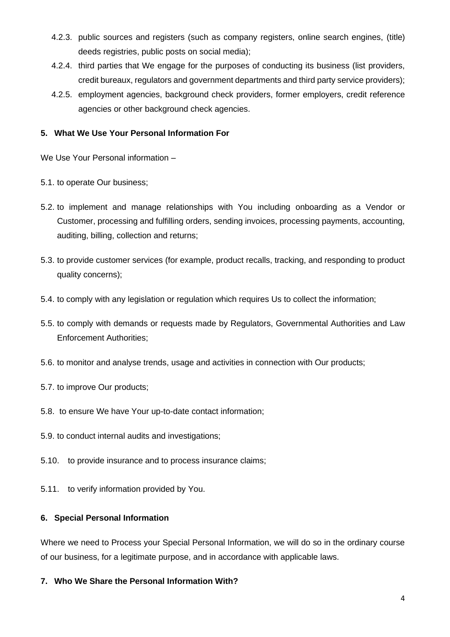- 4.2.3. public sources and registers (such as company registers, online search engines, (title) deeds registries, public posts on social media);
- 4.2.4. third parties that We engage for the purposes of conducting its business (list providers, credit bureaux, regulators and government departments and third party service providers);
- 4.2.5. employment agencies, background check providers, former employers, credit reference agencies or other background check agencies.

## **5. What We Use Your Personal Information For**

We Use Your Personal information –

- 5.1. to operate Our business;
- 5.2. to implement and manage relationships with You including onboarding as a Vendor or Customer, processing and fulfilling orders, sending invoices, processing payments, accounting, auditing, billing, collection and returns;
- 5.3. to provide customer services (for example, product recalls, tracking, and responding to product quality concerns);
- 5.4. to comply with any legislation or regulation which requires Us to collect the information;
- 5.5. to comply with demands or requests made by Regulators, Governmental Authorities and Law Enforcement Authorities;
- 5.6. to monitor and analyse trends, usage and activities in connection with Our products;
- 5.7. to improve Our products;
- 5.8. to ensure We have Your up-to-date contact information;
- 5.9. to conduct internal audits and investigations;
- 5.10. to provide insurance and to process insurance claims;
- 5.11. to verify information provided by You.

## **6. Special Personal Information**

Where we need to Process your Special Personal Information, we will do so in the ordinary course of our business, for a legitimate purpose, and in accordance with applicable laws.

**7. Who We Share the Personal Information With?**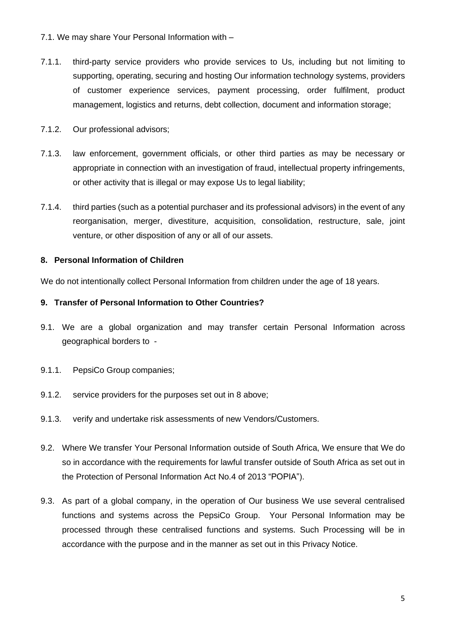- 7.1. We may share Your Personal Information with –
- 7.1.1. third-party service providers who provide services to Us, including but not limiting to supporting, operating, securing and hosting Our information technology systems, providers of customer experience services, payment processing, order fulfilment, product management, logistics and returns, debt collection, document and information storage;
- 7.1.2. Our professional advisors;
- 7.1.3. law enforcement, government officials, or other third parties as may be necessary or appropriate in connection with an investigation of fraud, intellectual property infringements, or other activity that is illegal or may expose Us to legal liability;
- 7.1.4. third parties (such as a potential purchaser and its professional advisors) in the event of any reorganisation, merger, divestiture, acquisition, consolidation, restructure, sale, joint venture, or other disposition of any or all of our assets.

#### **8. Personal Information of Children**

We do not intentionally collect Personal Information from children under the age of 18 years.

#### **9. Transfer of Personal Information to Other Countries?**

- 9.1. We are a global organization and may transfer certain Personal Information across geographical borders to -
- 9.1.1. PepsiCo Group companies;
- 9.1.2. service providers for the purposes set out in 8 above;
- 9.1.3. verify and undertake risk assessments of new Vendors/Customers.
- 9.2. Where We transfer Your Personal Information outside of South Africa, We ensure that We do so in accordance with the requirements for lawful transfer outside of South Africa as set out in the Protection of Personal Information Act No.4 of 2013 "POPIA").
- 9.3. As part of a global company, in the operation of Our business We use several centralised functions and systems across the PepsiCo Group. Your Personal Information may be processed through these centralised functions and systems. Such Processing will be in accordance with the purpose and in the manner as set out in this Privacy Notice.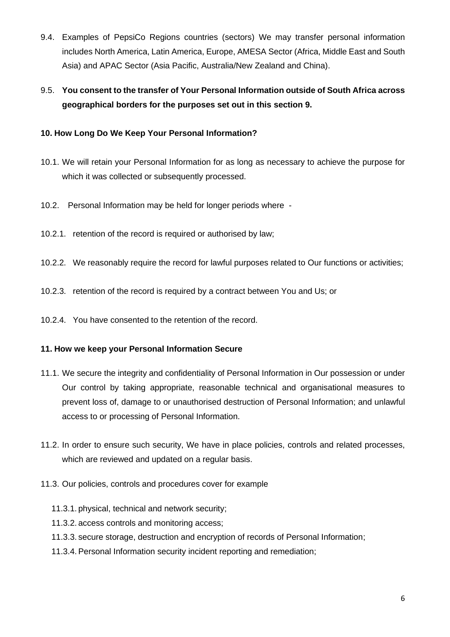- 9.4. Examples of PepsiCo Regions countries (sectors) We may transfer personal information includes North America, Latin America, Europe, AMESA Sector (Africa, Middle East and South Asia) and APAC Sector (Asia Pacific, Australia/New Zealand and China).
- 9.5. **You consent to the transfer of Your Personal Information outside of South Africa across geographical borders for the purposes set out in this section 9.**

# **10. How Long Do We Keep Your Personal Information?**

- 10.1. We will retain your Personal Information for as long as necessary to achieve the purpose for which it was collected or subsequently processed.
- 10.2. Personal Information may be held for longer periods where -
- 10.2.1. retention of the record is required or authorised by law;
- 10.2.2. We reasonably require the record for lawful purposes related to Our functions or activities;
- 10.2.3. retention of the record is required by a contract between You and Us; or
- 10.2.4. You have consented to the retention of the record.

## **11. How we keep your Personal Information Secure**

- 11.1. We secure the integrity and confidentiality of Personal Information in Our possession or under Our control by taking appropriate, reasonable technical and organisational measures to prevent loss of, damage to or unauthorised destruction of Personal Information; and unlawful access to or processing of Personal Information.
- 11.2. In order to ensure such security, We have in place policies, controls and related processes, which are reviewed and updated on a regular basis.
- 11.3. Our policies, controls and procedures cover for example
	- 11.3.1. physical, technical and network security;
	- 11.3.2. access controls and monitoring access;
	- 11.3.3. secure storage, destruction and encryption of records of Personal Information;
	- 11.3.4. Personal Information security incident reporting and remediation;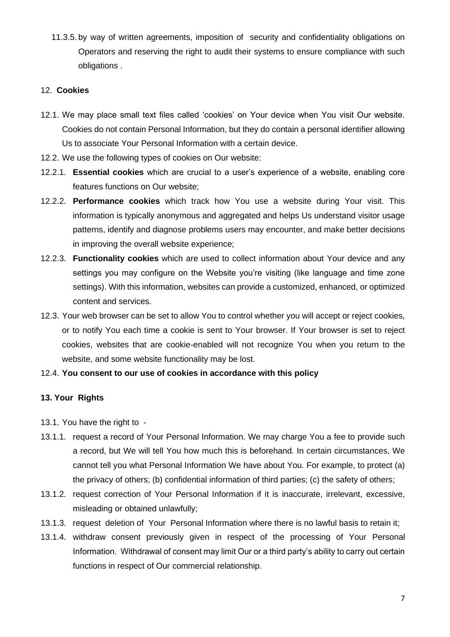11.3.5. by way of written agreements, imposition of security and confidentiality obligations on Operators and reserving the right to audit their systems to ensure compliance with such obligations .

#### 12. **Cookies**

- 12.1. We may place small text files called 'cookies' on Your device when You visit Our website. Cookies do not contain Personal Information, but they do contain a personal identifier allowing Us to associate Your Personal Information with a certain device.
- 12.2. We use the following types of cookies on Our website:
- 12.2.1. **Essential cookies** which are crucial to a user's experience of a website, enabling core features functions on Our website;
- 12.2.2. **Performance cookies** which track how You use a website during Your visit. This information is typically anonymous and aggregated and helps Us understand visitor usage patterns, identify and diagnose problems users may encounter, and make better decisions in improving the overall website experience;
- 12.2.3. **Functionality cookies** which are used to collect information about Your device and any settings you may configure on the Website you're visiting (like language and time zone settings). With this information, websites can provide a customized, enhanced, or optimized content and services.
- 12.3. Your web browser can be set to allow You to control whether you will accept or reject cookies, or to notify You each time a cookie is sent to Your browser. If Your browser is set to reject cookies, websites that are cookie-enabled will not recognize You when you return to the website, and some website functionality may be lost.
- 12.4. **You consent to our use of cookies in accordance with this policy**

## **13. Your Rights**

- 13.1. You have the right to -
- 13.1.1. request a record of Your Personal Information. We may charge You a fee to provide such a record, but We will tell You how much this is beforehand. In certain circumstances, We cannot tell you what Personal Information We have about You. For example, to protect (a) the privacy of others; (b) confidential information of third parties; (c) the safety of others;
- 13.1.2. request correction of Your Personal Information if it is inaccurate, irrelevant, excessive, misleading or obtained unlawfully;
- 13.1.3. request deletion of Your Personal Information where there is no lawful basis to retain it;
- 13.1.4. withdraw consent previously given in respect of the processing of Your Personal Information. Withdrawal of consent may limit Our or a third party's ability to carry out certain functions in respect of Our commercial relationship.